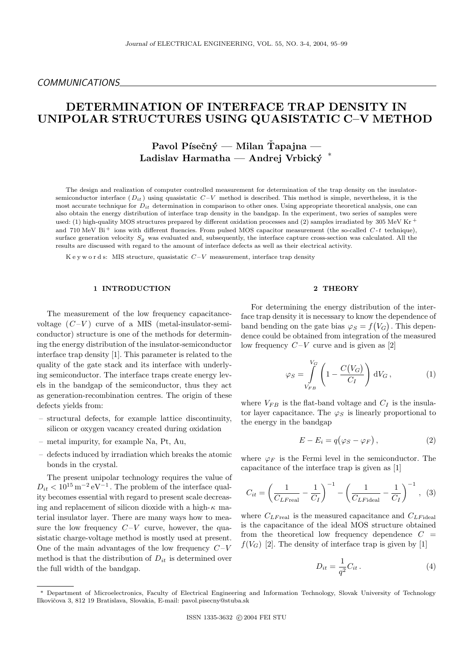# DETERMINATION OF INTERFACE TRAP DENSITY IN UNIPOLAR STRUCTURES USING QUASISTATIC C–V METHOD

# Pavol Písečný — Milan Tapajna — Ladislav Harmatha — Andrej Vrbicky´ ∗

The design and realization of computer controlled measurement for determination of the trap density on the insulatorsemiconductor interface  $(D_{it})$  using quasistatic  $C-V$  method is described. This method is simple, nevertheless, it is the most accurate technique for  $D_{it}$  determination in comparison to other ones. Using appropriate theoretical analysis, one can also obtain the energy distribution of interface trap density in the bandgap. In the experiment, two series of samples were used: (1) high-quality MOS structures prepared by different oxidation processes and (2) samples irradiated by 305 MeV Kr  $^+$ and 710 MeV Bi<sup>+</sup> ions with different fluencies. From pulsed MOS capacitor measurement (the so-called  $C$ -t technique), surface generation velocity  $S_g$  was evaluated and, subsequently, the interface capture cross-section was calculated. All the results are discussed with regard to the amount of interface defects as well as their electrical activity.

K e y w o r d s: MIS structure, quasistatic  $C-V$  measurement, interface trap density

### 1 INTRODUCTION

The measurement of the low frequency capacitancevoltage  $(C-V)$  curve of a MIS (metal-insulator-semiconductor) structure is one of the methods for determining the energy distribution of the insulator-semiconductor interface trap density [1]. This parameter is related to the quality of the gate stack and its interface with underlying semiconductor. The interface traps create energy levels in the bandgap of the semiconductor, thus they act as generation-recombination centres. The origin of these defects yields from:

- structural defects, for example lattice discontinuity, silicon or oxygen vacancy created during oxidation
- metal impurity, for example Na, Pt, Au,
- defects induced by irradiation which breaks the atomic bonds in the crystal.

The present unipolar technology requires the value of  $D_{it} < 10^{15} \,\mathrm{m}^{-2} \,\mathrm{eV}^{-1}$ . The problem of the interface quality becomes essential with regard to present scale decreasing and replacement of silicon dioxide with a high- $\kappa$  material insulator layer. There are many ways how to measure the low frequency  $C-V$  curve, however, the quasistatic charge-voltage method is mostly used at present. One of the main advantages of the low frequency  $C-V$ method is that the distribution of  $D_{it}$  is determined over the full width of the bandgap.

## 2 THEORY

For determining the energy distribution of the interface trap density it is necessary to know the dependence of band bending on the gate bias  $\varphi_S = f(V_G)$ . This dependence could be obtained from integration of the measured low frequency  $C-V$  curve and is given as [2]

$$
\varphi_S = \int\limits_{V_{FB}}^{V_G} \left( 1 - \frac{C(V_G)}{C_I} \right) dV_G , \qquad (1)
$$

where  $V_{FB}$  is the flat-band voltage and  $C_I$  is the insulator layer capacitance. The  $\varphi_S$  is linearly proportional to the energy in the bandgap

$$
E - E_i = q(\varphi_S - \varphi_F), \qquad (2)
$$

where  $\varphi_F$  is the Fermi level in the semiconductor. The capacitance of the interface trap is given as [1]

$$
C_{it} = \left(\frac{1}{C_{LF\text{real}}} - \frac{1}{C_I}\right)^{-1} - \left(\frac{1}{C_{LF\text{ideal}}} - \frac{1}{C_I}\right)^{-1}, (3)
$$

where  $C_{LF_{\text{real}}}$  is the measured capacitance and  $C_{LF_{\text{ideal}}}$ is the capacitance of the ideal MOS structure obtained from the theoretical low frequency dependence  $C =$  $f(V_G)$  [2]. The density of interface trap is given by [1]

$$
D_{it} = \frac{1}{q^2} C_{it} \,. \tag{4}
$$

<sup>∗</sup> Department of Microelectronics, Faculty of Electrical Engineering and Information Technology, Slovak University of Technology Ilkovičova 3, 812 19 Bratislava, Slovakia, E-mail: pavol.pisecny@stuba.sk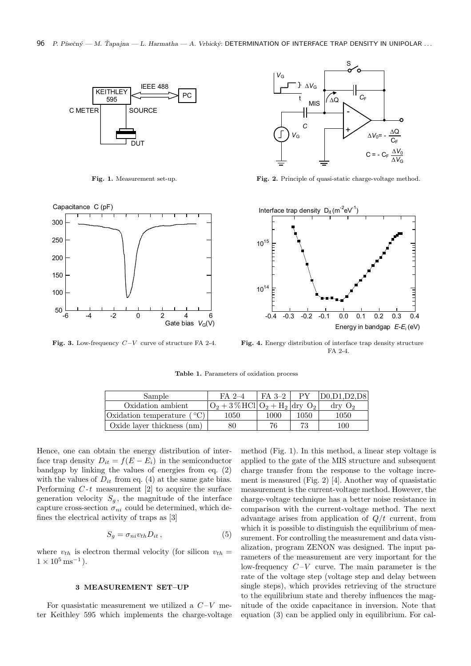

Fig. 1. Measurement set-up.



Fig. 3. Low-frequency  $C-V$  curve of structure FA 2-4.



Fig. 2. Principle of quasi-static charge-voltage method.



Fig. 4. Energy distribution of interface trap density structure FA 2-4.

Table 1. Parameters of oxidation process

| Sample                       | $FA$ 2-4                              | $FA$ 3-2 | $\mathbf{p}$ | D0.D1.D2.D8           |
|------------------------------|---------------------------------------|----------|--------------|-----------------------|
| Oxidation ambient            | $O_2 + 3\%$ HCl $O_2 + H_2$ dry $O_2$ |          |              | $\rm{dry}$ $\rm{O}_2$ |
| Oxidation temperature $(°C)$ | 1050-                                 | 1000     | 1050         | 1050                  |
| Oxide layer thickness (nm)   | 80                                    | 76       | 73           | 100                   |

Hence, one can obtain the energy distribution of interface trap density  $D_{it} = f(E - E_i)$  in the semiconductor bandgap by linking the values of energies from eq. (2) with the values of  $D_{it}$  from eq. (4) at the same gate bias. Performing  $C-t$  measurement [2] to acquire the surface generation velocity  $S_q$ , the magnitude of the interface capture cross-section  $\sigma_{ni}$  could be determined, which defines the electrical activity of traps as [3]

$$
S_g = \sigma_{ni} v_{th} D_{it} , \qquad (5)
$$

where  $v_{th}$  is electron thermal velocity (for silicon  $v_{th}$  =  $1 \times 10^5 \,\mathrm{ms}^{-1}$ ).

# 3 MEASUREMENT SET–UP

For quasistatic measurement we utilized a  $C-V$  meter Keithley 595 which implements the charge-voltage method (Fig. 1). In this method, a linear step voltage is applied to the gate of the MIS structure and subsequent charge transfer from the response to the voltage increment is measured (Fig. 2) [4]. Another way of quasistatic measurement is the current-voltage method. However, the charge-voltage technique has a better noise resistance in comparison with the current-voltage method. The next advantage arises from application of  $Q/t$  current, from which it is possible to distinguish the equilibrium of measurement. For controlling the measurement and data visualization, program ZENON was designed. The input parameters of the measurement are very important for the low-frequency  $C-V$  curve. The main parameter is the rate of the voltage step (voltage step and delay between single steps), which provides retrieving of the structure to the equilibrium state and thereby influences the magnitude of the oxide capacitance in inversion. Note that equation (3) can be applied only in equilibrium. For cal-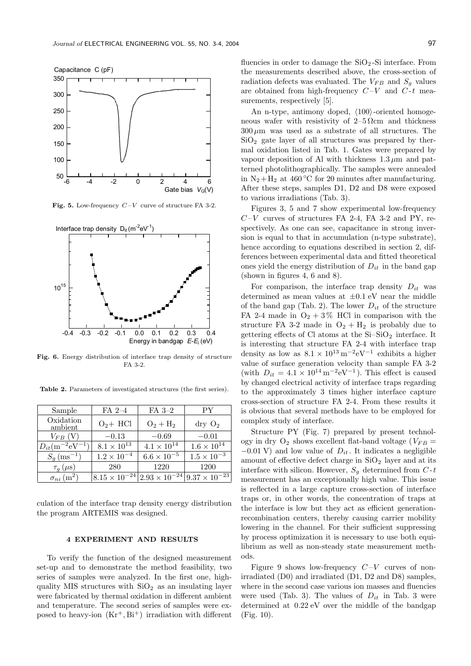

Fig. 5. Low-frequency  $C-V$  curve of structure FA 3-2.



Fig. 6. Energy distribution of interface trap density of structure FA 3-2.

Table 2. Parameters of investigated structures (the first series).

| Sample                          | $FA$ 2-4             | FA 3-2                                                               | PY                    |
|---------------------------------|----------------------|----------------------------------------------------------------------|-----------------------|
| Oxidation<br>ambient            | $O_2$ + HCl          | $O_2 + H_2$                                                          | $\rm{dry}$ $\rm{O}_2$ |
| $V_{FB}\; ({\rm V})$            | $-0.13$              | $-0.69$                                                              | $-0.01$               |
| $D_{it}(m^{-2}eV^{-1})$         | $8.1 \times 10^{13}$ | $4.1 \times 10^{14}$                                                 | $1.6 \times 10^{14}$  |
| $S_q$ (ms <sup>-1</sup> )       | $1.2 \times 10^{-4}$ | $6.6 \times 10^{-5}$                                                 | $1.5 \times 10^{-3}$  |
| $\tau_q(\mu s)$                 | 280                  | 1220                                                                 | 1200                  |
| $\sigma_{ni}$ (m <sup>2</sup> ) |                      | $8.15 \times 10^{-24}$ $2.93 \times 10^{-24}$ $9.37 \times 10^{-23}$ |                       |

culation of the interface trap density energy distribution the program ARTEMIS was designed.

#### 4 EXPERIMENT AND RESULTS

To verify the function of the designed measurement set-up and to demonstrate the method feasibility, two series of samples were analyzed. In the first one, highquality MIS structures with  $SiO<sub>2</sub>$  as an insulating layer were fabricated by thermal oxidation in different ambient and temperature. The second series of samples were exposed to heavy-ion  $(Kr^+, Bi^+)$  irradiation with different fluencies in order to damage the  $SiO<sub>2</sub>$ -Si interface. From the measurements described above, the cross-section of radiation defects was evaluated. The  $V_{FB}$  and  $S_g$  values are obtained from high-frequency  $C-V$  and  $C-t$  measurements, respectively [5].

An n-type, antimony doped,  $\langle 100 \rangle$ -oriented homogeneous wafer with resistivity of  $2-5 \Omega$ cm and thickness  $300 \mu m$  was used as a substrate of all structures. The SiO<sub>2</sub> gate layer of all structures was prepared by thermal oxidation listed in Tab. 1. Gates were prepared by vapour deposition of Al with thickness  $1.3 \mu$ m and patterned photolithographically. The samples were annealed in  $N_2 + H_2$  at 460 °C for 20 minutes after manufacturing. After these steps, samples D1, D2 and D8 were exposed to various irradiations (Tab. 3).

Figures 3, 5 and 7 show experimental low-frequency  $C-V$  curves of structures FA 2-4, FA 3-2 and PY, respectively. As one can see, capacitance in strong inversion is equal to that in accumulation (n-type substrate), hence according to equations described in section 2, differences between experimental data and fitted theoretical ones yield the energy distribution of  $D_{it}$  in the band gap (shown in figures 4, 6 and 8).

For comparison, the interface trap density  $D_{it}$  was determined as mean values at  $\pm 0.1$  eV near the middle of the band gap (Tab. 2). The lower  $D_{it}$  of the structure FA 2-4 made in  $O_2 + 3\%$  HCl in comparison with the structure FA 3-2 made in  $O_2 + H_2$  is probably due to gettering effects of Cl atoms at the  $Si-SiO<sub>2</sub>$  interface. It is interesting that structure FA 2-4 with interface trap density as low as  $8.1 \times 10^{13} \,\mathrm{m}^{-2} \mathrm{eV}^{-1}$  exhibits a higher value of surface generation velocity than sample FA 3-2 (with  $D_{it} = 4.1 \times 10^{14} \,\mathrm{m}^{-2} \mathrm{eV}^{-1}$ ). This effect is caused by changed electrical activity of interface traps regarding to the approximately 3 times higher interface capture cross-section of structure FA 2-4. From these results it is obvious that several methods have to be employed for complex study of interface.

Structure PY (Fig. 7) prepared by present technology in dry  $O_2$  shows excellent flat-band voltage ( $V_{FB}$  =  $-0.01$  V) and low value of  $D_{it}$ . It indicates a negligible amount of effective defect charge in  $SiO<sub>2</sub>$  layer and at its interface with silicon. However,  $S_g$  determined from  $C$ -t measurement has an exceptionally high value. This issue is reflected in a large capture cross-section of interface traps or, in other words, the concentration of traps at the interface is low but they act as efficient generationrecombination centers, thereby causing carrier mobility lowering in the channel. For their sufficient suppressing by process optimization it is necessary to use both equilibrium as well as non-steady state measurement methods.

Figure 9 shows low-frequency  $C-V$  curves of nonirradiated (D0) and irradiated (D1, D2 and D8) samples, where in the second case various ion masses and fluencies were used (Tab. 3). The values of  $D_{it}$  in Tab. 3 were determined at 0.22 eV over the middle of the bandgap (Fig. 10).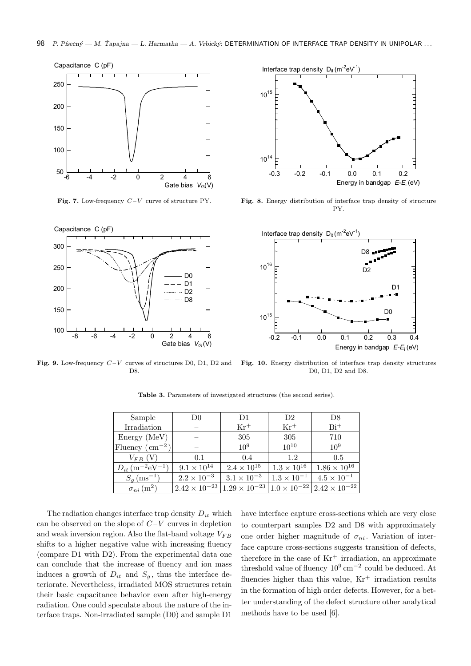

**Fig. 7.** Low-frequency  $C-V$  curve of structure PY.



10 14 Interface trap density  $D_{it} (m^{-2} eV^1)$ )  $10^{15}$ Energy in bandgap  $E-E_i$  (eV) -0.3 -0.2 -0.1 0.0 0.1 0.2

Fig. 8. Energy distribution of interface trap density of structure PY.



Fig. 9. Low-frequency  $C-V$  curves of structures D0, D1, D2 and D8.

Fig. 10. Energy distribution of interface trap density structures D0, D1, D2 and D8.

| Sample                                       | D0                   | D <sub>1</sub>                                                      | D <sub>2</sub>       | D <sub>8</sub>         |
|----------------------------------------------|----------------------|---------------------------------------------------------------------|----------------------|------------------------|
| Irradiation                                  |                      | $Kr^+$                                                              | $Kr^+$               | $\rm Bi^{+}$           |
| Energy (MeV)                                 |                      | 305                                                                 | 305                  | 710                    |
| Fluency $\rm (cm^{-2})$                      |                      | $10^{9}$                                                            | $10^{10}$            | 10 <sup>9</sup>        |
| $V_{FB}$ (V)                                 | $-0.1$               | $-0.4$                                                              | $-1.2$               | $-0.5$                 |
| $D_{it}$ (m <sup>-2</sup> eV <sup>-1</sup> ) | $9.1 \times 10^{14}$ | $2.4 \times 10^{15}$                                                | $1.3 \times 10^{16}$ | $1.86 \times 10^{16}$  |
| $S_q$ (ms <sup>-1</sup> )                    | $2.2 \times 10^{-3}$ | $3.1 \times 10^{-3}$                                                | $1.3 \times 10^{-1}$ | $4.5 \times 10^{-1}$   |
| $\sigma_{ni}$ (m <sup>2</sup> )              |                      | $2.42 \times 10^{-23}$ 1.29 $\times 10^{-23}$ 1.0 $\times 10^{-22}$ |                      | $2.42 \times 10^{-22}$ |

Table 3. Parameters of investigated structures (the second series).

The radiation changes interface trap density  $D_{it}$  which can be observed on the slope of  $C-V$  curves in depletion and weak inversion region. Also the flat-band voltage  $V_{FB}$ shifts to a higher negative value with increasing fluency (compare D1 with D2). From the experimental data one can conclude that the increase of fluency and ion mass induces a growth of  $D_{it}$  and  $S_g$ , thus the interface deteriorate. Nevertheless, irradiated MOS structures retain their basic capacitance behavior even after high-energy radiation. One could speculate about the nature of the interface traps. Non-irradiated sample (D0) and sample D1

have interface capture cross-sections which are very close to counterpart samples D2 and D8 with approximately one order higher magnitude of  $\sigma_{ni}$ . Variation of interface capture cross-sections suggests transition of defects, therefore in the case of  $Kr^+$  irradiation, an approximate threshold value of fluency  $10^9 \text{ cm}^{-2}$  could be deduced. At fluencies higher than this value,  $Kr^+$  irradiation results in the formation of high order defects. However, for a better understanding of the defect structure other analytical methods have to be used [6].